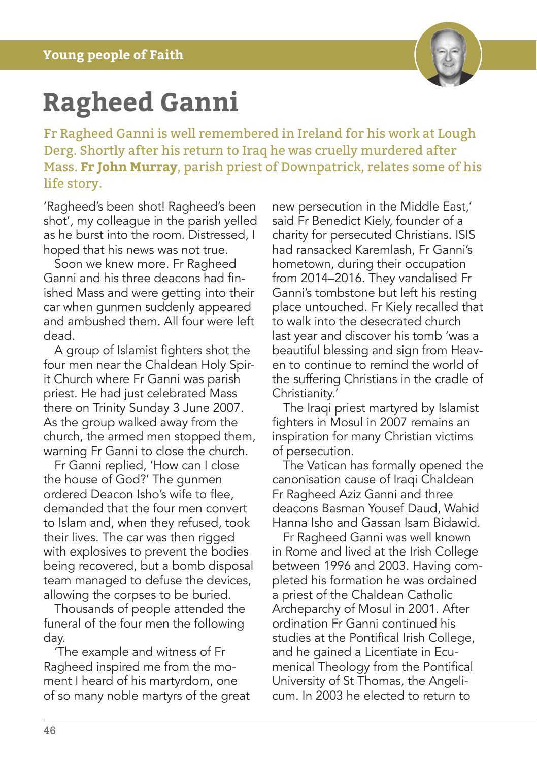

## **Ragheed Ganni**

Fr Ragheed Ganni is well remembered in Ireland for his work at Lough Derg. Shortly after his return to Iraq he was cruelly murdered after Mass. **Fr John Murray**, parish priest of Downpatrick, relates some of his life story.

'Ragheed's been shot! Ragheed's been shot', my colleague in the parish yelled as he burst into the room. Distressed, I hoped that his news was not true.

Soon we knew more. Fr Ragheed Ganni and his three deacons had finished Mass and were getting into their car when gunmen suddenly appeared and ambushed them. All four were left dead.

A group of Islamist fighters shot the four men near the Chaldean Holy Spirit Church where Fr Ganni was parish priest. He had just celebrated Mass there on Trinity Sunday 3 June 2007. As the group walked away from the church, the armed men stopped them, warning Fr Ganni to close the church.

Fr Ganni replied, 'How can I close the house of God?' The gunmen ordered Deacon Isho's wife to flee, demanded that the four men convert to Islam and, when they refused, took their lives. The car was then rigged with explosives to prevent the bodies being recovered, but a bomb disposal team managed to defuse the devices, allowing the corpses to be buried.

Thousands of people attended the funeral of the four men the following day.

'The example and witness of Fr Ragheed inspired me from the moment I heard of his martyrdom, one of so many noble martyrs of the great new persecution in the Middle East,' said Fr Benedict Kiely, founder of a charity for persecuted Christians. ISIS had ransacked Karemlash, Fr Ganni's hometown, during their occupation from 2014–2016. They vandalised Fr Ganni's tombstone but left his resting place untouched. Fr Kiely recalled that to walk into the desecrated church last year and discover his tomb 'was a beautiful blessing and sign from Heaven to continue to remind the world of the suffering Christians in the cradle of Christianity.'

The Iraqi priest martyred by Islamist fighters in Mosul in 2007 remains an inspiration for many Christian victims of persecution.

The Vatican has formally opened the canonisation cause of Iraqi Chaldean Fr Ragheed Aziz Ganni and three deacons Basman Yousef Daud, Wahid Hanna Isho and Gassan Isam Bidawid.

Fr Ragheed Ganni was well known in Rome and lived at the Irish College between 1996 and 2003. Having completed his formation he was ordained a priest of the Chaldean Catholic Archeparchy of Mosul in 2001. After ordination Fr Ganni continued his studies at the Pontifical Irish College, and he gained a Licentiate in Ecumenical Theology from the Pontifical University of St Thomas, the Angelicum. In 2003 he elected to return to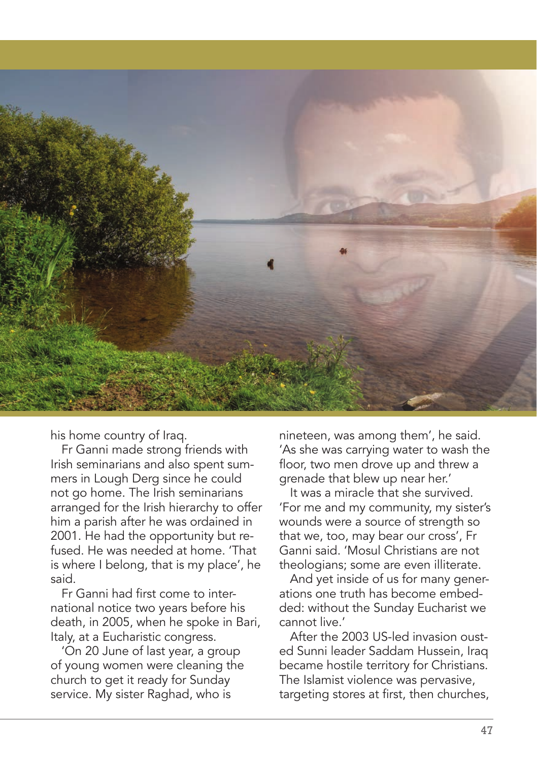

his home country of Iraq.

Fr Ganni made strong friends with Irish seminarians and also spent summers in Lough Derg since he could not go home. The Irish seminarians arranged for the Irish hierarchy to offer him a parish after he was ordained in 2001. He had the opportunity but refused. He was needed at home. 'That is where I belong, that is my place', he said.

Fr Ganni had first come to international notice two years before his death, in 2005, when he spoke in Bari, Italy, at a Eucharistic congress.

'On 20 June of last year, a group of young women were cleaning the church to get it ready for Sunday service. My sister Raghad, who is

nineteen, was among them', he said. 'As she was carrying water to wash the floor, two men drove up and threw a grenade that blew up near her.'

It was a miracle that she survived. 'For me and my community, my sister's wounds were a source of strength so that we, too, may bear our cross', Fr Ganni said. 'Mosul Christians are not theologians; some are even illiterate.

And yet inside of us for many generations one truth has become embedded: without the Sunday Eucharist we cannot live.'

After the 2003 US-led invasion ousted Sunni leader Saddam Hussein, Iraq became hostile territory for Christians. The Islamist violence was pervasive, targeting stores at first, then churches,